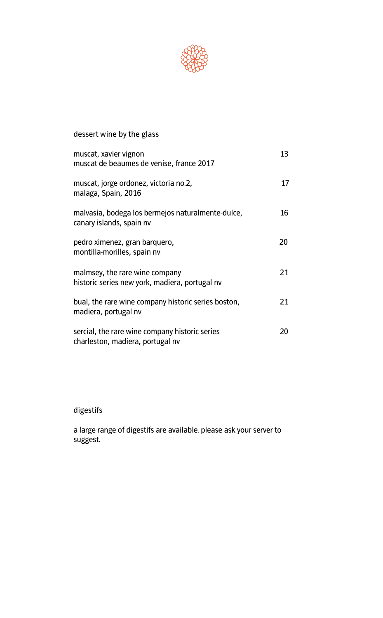

## **dessert wine by the glass** muscat, xavier vignon and the same of the same of the same of the same of the same of the same of the same of the same of the same of the same of the same of the same of the same of the same of the same of the same of the **muscat de beaumes de venise, france 2017 muscat, jorge ordonez, victoria no.2, 17 malaga, Spain, 2016 malvasia, bodega los bermejos naturalmente-dulce, 16 canary islands, spain nv pedro ximenez, gran barquero, 20 montilla-morilles, spain nv malmsey, the rare wine company 21 historic series new york, madiera, portugal nv bual, the rare wine company historic series boston, 21 madiera, portugal nv sercial, the rare wine company historic series 20 charleston, madiera, portugal nv**

## **digestifs**

**a large range of digestifs are available. please ask your server to suggest.**